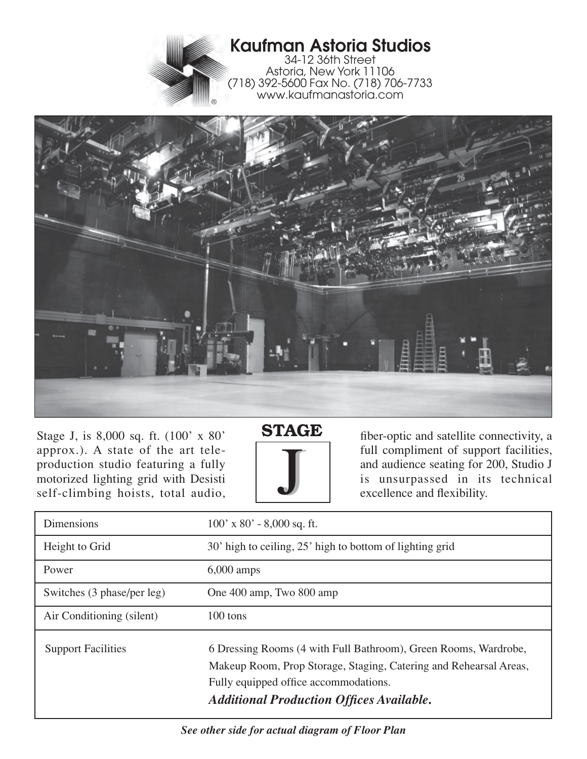

## **Kaufman Astoria Studios**

34-12 36th Street Astoria, New York 11106 (718) 392-5600 Fax No. (718) 706-7733 www.kaufmanastoria.com



Stage J, is 8,000 sq. ft. (100' x 80' approx.). A state of the art teleproduction studio featuring a fully motorized lighting grid with Desisti self-climbing hoists, total audio,





fiber-optic and satellite connectivity, a full compliment of support facilities, and audience seating for 200, Studio J is unsurpassed in its technical excellence and flexibility.

| <b>Dimensions</b>          | $100'$ x 80' - 8,000 sq. ft.                                                                                                                                                                                                     |
|----------------------------|----------------------------------------------------------------------------------------------------------------------------------------------------------------------------------------------------------------------------------|
| Height to Grid             | 30' high to ceiling, 25' high to bottom of lighting grid                                                                                                                                                                         |
| Power                      | $6,000$ amps                                                                                                                                                                                                                     |
| Switches (3 phase/per leg) | One 400 amp, Two 800 amp                                                                                                                                                                                                         |
| Air Conditioning (silent)  | 100 tons                                                                                                                                                                                                                         |
| <b>Support Facilities</b>  | 6 Dressing Rooms (4 with Full Bathroom), Green Rooms, Wardrobe,<br>Makeup Room, Prop Storage, Staging, Catering and Rehearsal Areas,<br>Fully equipped office accommodations.<br><b>Additional Production Offices Available.</b> |

*See other side for actual diagram of Floor Plan*